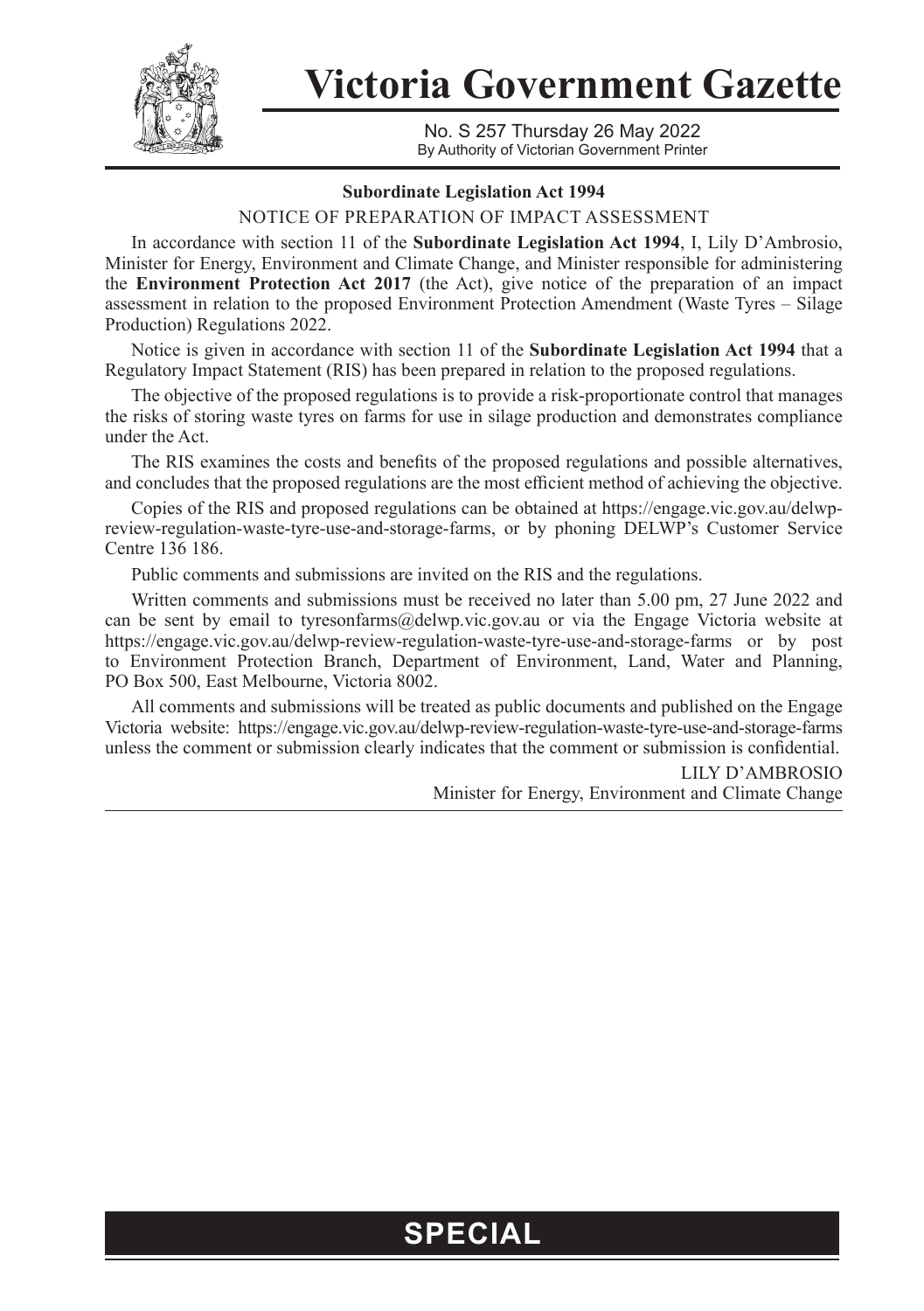

**Victoria Government Gazette**

No. S 257 Thursday 26 May 2022 By Authority of Victorian Government Printer

## **Subordinate Legislation Act 1994**

NOTICE OF PREPARATION OF IMPACT ASSESSMENT

In accordance with section 11 of the **Subordinate Legislation Act 1994**, I, Lily D'Ambrosio, Minister for Energy, Environment and Climate Change, and Minister responsible for administering the **Environment Protection Act 2017** (the Act), give notice of the preparation of an impact assessment in relation to the proposed Environment Protection Amendment (Waste Tyres – Silage Production) Regulations 2022.

Notice is given in accordance with section 11 of the **Subordinate Legislation Act 1994** that a Regulatory Impact Statement (RIS) has been prepared in relation to the proposed regulations.

The objective of the proposed regulations is to provide a risk-proportionate control that manages the risks of storing waste tyres on farms for use in silage production and demonstrates compliance under the Act.

The RIS examines the costs and benefits of the proposed regulations and possible alternatives, and concludes that the proposed regulations are the most efficient method of achieving the objective.

Copies of the RIS and proposed regulations can be obtained at [https://engage.vic.gov.au/delwp](https://engage.vic.gov.au/delwp-review-regulation-waste-tyre-use-and-storage-farms)[review-regulation-waste-tyre-use-and-storage-farms](https://engage.vic.gov.au/delwp-review-regulation-waste-tyre-use-and-storage-farms), or by phoning DELWP's Customer Service Centre 136 186.

Public comments and submissions are invited on the RIS and the regulations.

Written comments and submissions must be received no later than 5.00 pm, 27 June 2022 and can be sent by email to tyresonfarms@delwp.vic.gov.au or via the Engage Victoria website at https://engage.vic.gov.au/delwp-review-regulation-waste-tyre-use-and-storage-farms or by post to Environment Protection Branch, Department of Environment, Land, Water and Planning, PO Box 500, East Melbourne, Victoria 8002.

All comments and submissions will be treated as public documents and published on the Engage Victoria website: https://engage.vic.gov.au/delwp-review-regulation-waste-tyre-use-and-storage-farms unless the comment or submission clearly indicates that the comment or submission is confidential.

> LILY D'AMBROSIO Minister for Energy, Environment and Climate Change

## **SPECIAL**